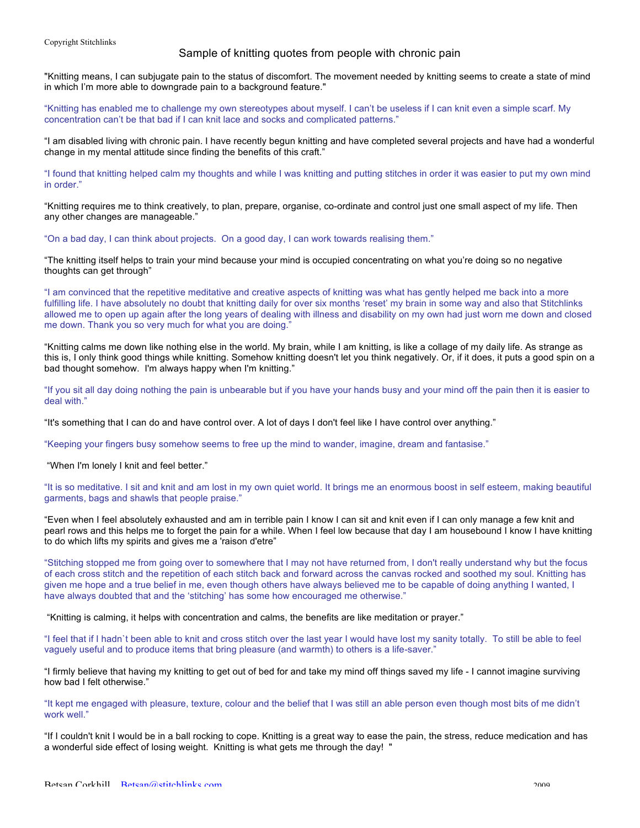## Sample of knitting quotes from people with chronic pain

"Knitting means, I can subjugate pain to the status of discomfort. The movement needed by knitting seems to create a state of mind in which I'm more able to downgrade pain to a background feature."

"Knitting has enabled me to challenge my own stereotypes about myself. I can't be useless if I can knit even a simple scarf. My concentration can't be that bad if I can knit lace and socks and complicated patterns."

"I am disabled living with chronic pain. I have recently begun knitting and have completed several projects and have had a wonderful change in my mental attitude since finding the benefits of this craft."

"I found that knitting helped calm my thoughts and while I was knitting and putting stitches in order it was easier to put my own mind in order."

"Knitting requires me to think creatively, to plan, prepare, organise, co-ordinate and control just one small aspect of my life. Then any other changes are manageable."

"On a bad day, I can think about projects. On a good day, I can work towards realising them."

"The knitting itself helps to train your mind because your mind is occupied concentrating on what you're doing so no negative thoughts can get through"

"I am convinced that the repetitive meditative and creative aspects of knitting was what has gently helped me back into a more fulfilling life. I have absolutely no doubt that knitting daily for over six months 'reset' my brain in some way and also that Stitchlinks allowed me to open up again after the long years of dealing with illness and disability on my own had just worn me down and closed me down. Thank you so very much for what you are doing."

"Knitting calms me down like nothing else in the world. My brain, while I am knitting, is like a collage of my daily life. As strange as this is, I only think good things while knitting. Somehow knitting doesn't let you think negatively. Or, if it does, it puts a good spin on a bad thought somehow. I'm always happy when I'm knitting."

"If you sit all day doing nothing the pain is unbearable but if you have your hands busy and your mind off the pain then it is easier to deal with."

"It's something that I can do and have control over. A lot of days I don't feel like I have control over anything."

"Keeping your fingers busy somehow seems to free up the mind to wander, imagine, dream and fantasise."

"When I'm lonely I knit and feel better."

"It is so meditative. I sit and knit and am lost in my own quiet world. It brings me an enormous boost in self esteem, making beautiful garments, bags and shawls that people praise."

"Even when I feel absolutely exhausted and am in terrible pain I know I can sit and knit even if I can only manage a few knit and pearl rows and this helps me to forget the pain for a while. When I feel low because that day I am housebound I know I have knitting to do which lifts my spirits and gives me a 'raison d'etre"

"Stitching stopped me from going over to somewhere that I may not have returned from, I don't really understand why but the focus of each cross stitch and the repetition of each stitch back and forward across the canvas rocked and soothed my soul. Knitting has given me hope and a true belief in me, even though others have always believed me to be capable of doing anything I wanted, I have always doubted that and the 'stitching' has some how encouraged me otherwise."

"Knitting is calming, it helps with concentration and calms, the benefits are like meditation or prayer."

"I feel that if I hadn`t been able to knit and cross stitch over the last year I would have lost my sanity totally. To still be able to feel vaguely useful and to produce items that bring pleasure (and warmth) to others is a life-saver."

"I firmly believe that having my knitting to get out of bed for and take my mind off things saved my life - I cannot imagine surviving how bad I felt otherwise."

"It kept me engaged with pleasure, texture, colour and the belief that I was still an able person even though most bits of me didn't work well."

"If I couldn't knit I would be in a ball rocking to cope. Knitting is a great way to ease the pain, the stress, reduce medication and has a wonderful side effect of losing weight. Knitting is what gets me through the day! "